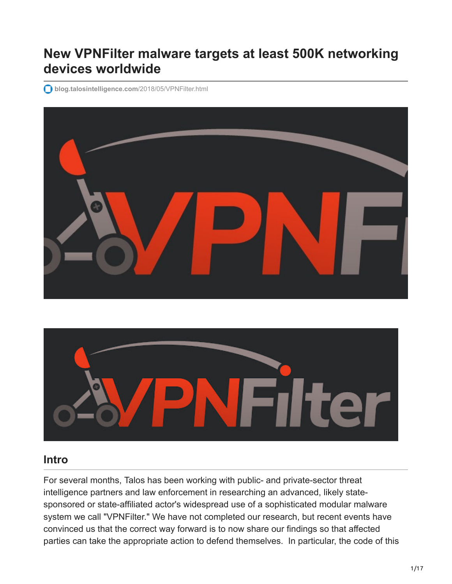# **New VPNFilter malware targets at least 500K networking devices worldwide**

**[blog.talosintelligence.com](https://blog.talosintelligence.com/2018/05/VPNFilter.html)**/2018/05/VPNFilter.html





# **Intro**

For several months, Talos has been working with public- and private-sector threat intelligence partners and law enforcement in researching an advanced, likely statesponsored or state-affiliated actor's widespread use of a sophisticated modular malware system we call "VPNFilter." We have not completed our research, but recent events have convinced us that the correct way forward is to now share our findings so that affected parties can take the appropriate action to defend themselves. In particular, the code of this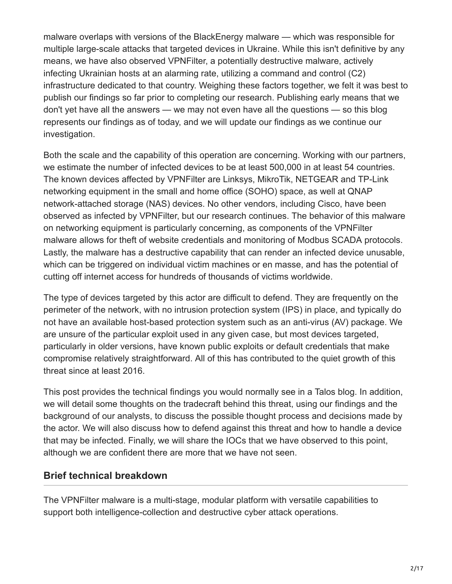malware overlaps with versions of the BlackEnergy malware — which was responsible for multiple large-scale attacks that targeted devices in Ukraine. While this isn't definitive by any means, we have also observed VPNFilter, a potentially destructive malware, actively infecting Ukrainian hosts at an alarming rate, utilizing a command and control (C2) infrastructure dedicated to that country. Weighing these factors together, we felt it was best to publish our findings so far prior to completing our research. Publishing early means that we don't yet have all the answers — we may not even have all the questions — so this blog represents our findings as of today, and we will update our findings as we continue our investigation.

Both the scale and the capability of this operation are concerning. Working with our partners, we estimate the number of infected devices to be at least 500,000 in at least 54 countries. The known devices affected by VPNFilter are Linksys, MikroTik, NETGEAR and TP-Link networking equipment in the small and home office (SOHO) space, as well at QNAP network-attached storage (NAS) devices. No other vendors, including Cisco, have been observed as infected by VPNFilter, but our research continues. The behavior of this malware on networking equipment is particularly concerning, as components of the VPNFilter malware allows for theft of website credentials and monitoring of Modbus SCADA protocols. Lastly, the malware has a destructive capability that can render an infected device unusable, which can be triggered on individual victim machines or en masse, and has the potential of cutting off internet access for hundreds of thousands of victims worldwide.

The type of devices targeted by this actor are difficult to defend. They are frequently on the perimeter of the network, with no intrusion protection system (IPS) in place, and typically do not have an available host-based protection system such as an anti-virus (AV) package. We are unsure of the particular exploit used in any given case, but most devices targeted, particularly in older versions, have known public exploits or default credentials that make compromise relatively straightforward. All of this has contributed to the quiet growth of this threat since at least 2016.

This post provides the technical findings you would normally see in a Talos blog. In addition, we will detail some thoughts on the tradecraft behind this threat, using our findings and the background of our analysts, to discuss the possible thought process and decisions made by the actor. We will also discuss how to defend against this threat and how to handle a device that may be infected. Finally, we will share the IOCs that we have observed to this point, although we are confident there are more that we have not seen.

# **Brief technical breakdown**

The VPNFilter malware is a multi-stage, modular platform with versatile capabilities to support both intelligence-collection and destructive cyber attack operations.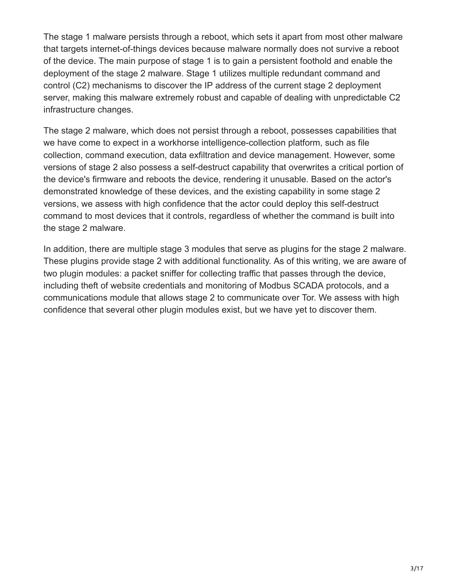The stage 1 malware persists through a reboot, which sets it apart from most other malware that targets internet-of-things devices because malware normally does not survive a reboot of the device. The main purpose of stage 1 is to gain a persistent foothold and enable the deployment of the stage 2 malware. Stage 1 utilizes multiple redundant command and control (C2) mechanisms to discover the IP address of the current stage 2 deployment server, making this malware extremely robust and capable of dealing with unpredictable C2 infrastructure changes.

The stage 2 malware, which does not persist through a reboot, possesses capabilities that we have come to expect in a workhorse intelligence-collection platform, such as file collection, command execution, data exfiltration and device management. However, some versions of stage 2 also possess a self-destruct capability that overwrites a critical portion of the device's firmware and reboots the device, rendering it unusable. Based on the actor's demonstrated knowledge of these devices, and the existing capability in some stage 2 versions, we assess with high confidence that the actor could deploy this self-destruct command to most devices that it controls, regardless of whether the command is built into the stage 2 malware.

In addition, there are multiple stage 3 modules that serve as plugins for the stage 2 malware. These plugins provide stage 2 with additional functionality. As of this writing, we are aware of two plugin modules: a packet sniffer for collecting traffic that passes through the device, including theft of website credentials and monitoring of Modbus SCADA protocols, and a communications module that allows stage 2 to communicate over Tor. We assess with high confidence that several other plugin modules exist, but we have yet to discover them.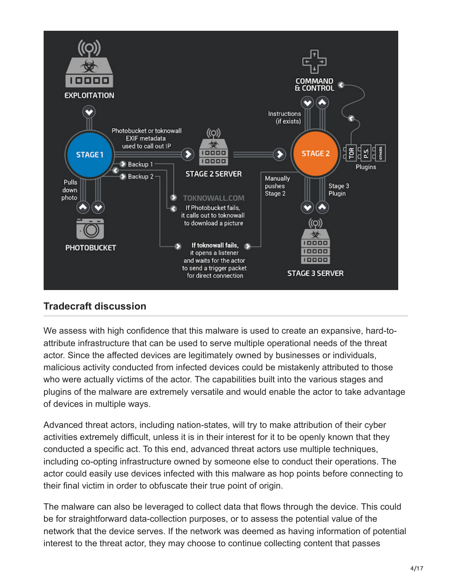

# **Tradecraft discussion**

We assess with high confidence that this malware is used to create an expansive, hard-toattribute infrastructure that can be used to serve multiple operational needs of the threat actor. Since the affected devices are legitimately owned by businesses or individuals, malicious activity conducted from infected devices could be mistakenly attributed to those who were actually victims of the actor. The capabilities built into the various stages and plugins of the malware are extremely versatile and would enable the actor to take advantage of devices in multiple ways.

Advanced threat actors, including nation-states, will try to make attribution of their cyber activities extremely difficult, unless it is in their interest for it to be openly known that they conducted a specific act. To this end, advanced threat actors use multiple techniques, including co-opting infrastructure owned by someone else to conduct their operations. The actor could easily use devices infected with this malware as hop points before connecting to their final victim in order to obfuscate their true point of origin.

The malware can also be leveraged to collect data that flows through the device. This could be for straightforward data-collection purposes, or to assess the potential value of the network that the device serves. If the network was deemed as having information of potential interest to the threat actor, they may choose to continue collecting content that passes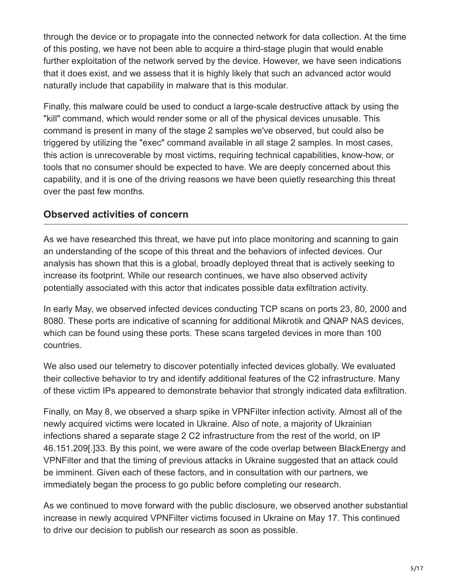through the device or to propagate into the connected network for data collection. At the time of this posting, we have not been able to acquire a third-stage plugin that would enable further exploitation of the network served by the device. However, we have seen indications that it does exist, and we assess that it is highly likely that such an advanced actor would naturally include that capability in malware that is this modular.

Finally, this malware could be used to conduct a large-scale destructive attack by using the "kill" command, which would render some or all of the physical devices unusable. This command is present in many of the stage 2 samples we've observed, but could also be triggered by utilizing the "exec" command available in all stage 2 samples. In most cases, this action is unrecoverable by most victims, requiring technical capabilities, know-how, or tools that no consumer should be expected to have. We are deeply concerned about this capability, and it is one of the driving reasons we have been quietly researching this threat over the past few months.

# **Observed activities of concern**

As we have researched this threat, we have put into place monitoring and scanning to gain an understanding of the scope of this threat and the behaviors of infected devices. Our analysis has shown that this is a global, broadly deployed threat that is actively seeking to increase its footprint. While our research continues, we have also observed activity potentially associated with this actor that indicates possible data exfiltration activity.

In early May, we observed infected devices conducting TCP scans on ports 23, 80, 2000 and 8080. These ports are indicative of scanning for additional Mikrotik and QNAP NAS devices, which can be found using these ports. These scans targeted devices in more than 100 countries.

We also used our telemetry to discover potentially infected devices globally. We evaluated their collective behavior to try and identify additional features of the C2 infrastructure. Many of these victim IPs appeared to demonstrate behavior that strongly indicated data exfiltration.

Finally, on May 8, we observed a sharp spike in VPNFilter infection activity. Almost all of the newly acquired victims were located in Ukraine. Also of note, a majority of Ukrainian infections shared a separate stage 2 C2 infrastructure from the rest of the world, on IP 46.151.209[.]33. By this point, we were aware of the code overlap between BlackEnergy and VPNFilter and that the timing of previous attacks in Ukraine suggested that an attack could be imminent. Given each of these factors, and in consultation with our partners, we immediately began the process to go public before completing our research.

As we continued to move forward with the public disclosure, we observed another substantial increase in newly acquired VPNFilter victims focused in Ukraine on May 17. This continued to drive our decision to publish our research as soon as possible.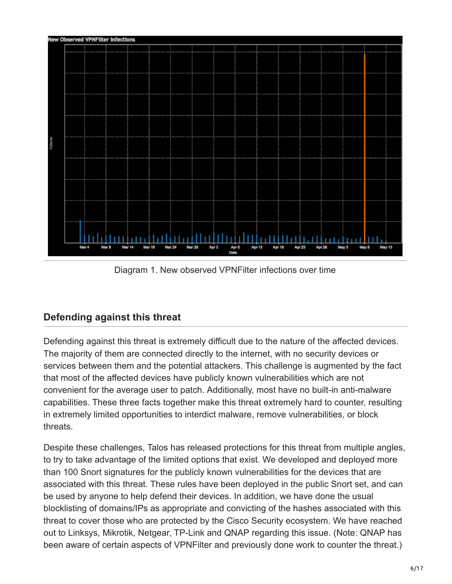

Diagram 1. New observed VPNFilter infections over time

# **Defending against this threat**

Defending against this threat is extremely difficult due to the nature of the affected devices. The majority of them are connected directly to the internet, with no security devices or services between them and the potential attackers. This challenge is augmented by the fact that most of the affected devices have publicly known vulnerabilities which are not convenient for the average user to patch. Additionally, most have no built-in anti-malware capabilities. These three facts together make this threat extremely hard to counter, resulting in extremely limited opportunities to interdict malware, remove vulnerabilities, or block threats.

Despite these challenges, Talos has released protections for this threat from multiple angles, to try to take advantage of the limited options that exist. We developed and deployed more than 100 Snort signatures for the publicly known vulnerabilities for the devices that are associated with this threat. These rules have been deployed in the public Snort set, and can be used by anyone to help defend their devices. In addition, we have done the usual blocklisting of domains/IPs as appropriate and convicting of the hashes associated with this threat to cover those who are protected by the Cisco Security ecosystem. We have reached out to Linksys, Mikrotik, Netgear, TP-Link and QNAP regarding this issue. (Note: QNAP has been aware of certain aspects of VPNFilter and previously done work to counter the threat.)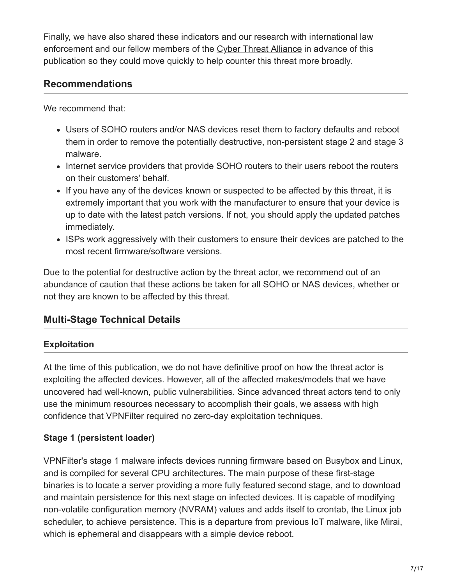Finally, we have also shared these indicators and our research with international law enforcement and our fellow members of the [Cyber Threat Alliance](https://www.cyberthreatalliance.org/) in advance of this publication so they could move quickly to help counter this threat more broadly.

# **Recommendations**

We recommend that:

- Users of SOHO routers and/or NAS devices reset them to factory defaults and reboot them in order to remove the potentially destructive, non-persistent stage 2 and stage 3 malware.
- Internet service providers that provide SOHO routers to their users reboot the routers on their customers' behalf.
- If you have any of the devices known or suspected to be affected by this threat, it is extremely important that you work with the manufacturer to ensure that your device is up to date with the latest patch versions. If not, you should apply the updated patches immediately.
- ISPs work aggressively with their customers to ensure their devices are patched to the most recent firmware/software versions.

Due to the potential for destructive action by the threat actor, we recommend out of an abundance of caution that these actions be taken for all SOHO or NAS devices, whether or not they are known to be affected by this threat.

# **Multi-Stage Technical Details**

# **Exploitation**

At the time of this publication, we do not have definitive proof on how the threat actor is exploiting the affected devices. However, all of the affected makes/models that we have uncovered had well-known, public vulnerabilities. Since advanced threat actors tend to only use the minimum resources necessary to accomplish their goals, we assess with high confidence that VPNFilter required no zero-day exploitation techniques.

# **Stage 1 (persistent loader)**

VPNFilter's stage 1 malware infects devices running firmware based on Busybox and Linux, and is compiled for several CPU architectures. The main purpose of these first-stage binaries is to locate a server providing a more fully featured second stage, and to download and maintain persistence for this next stage on infected devices. It is capable of modifying non-volatile configuration memory (NVRAM) values and adds itself to crontab, the Linux job scheduler, to achieve persistence. This is a departure from previous IoT malware, like Mirai, which is ephemeral and disappears with a simple device reboot.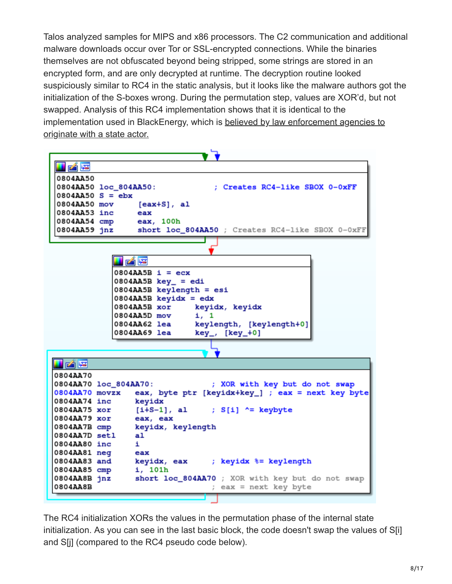Talos analyzed samples for MIPS and x86 processors. The C2 communication and additional malware downloads occur over Tor or SSL-encrypted connections. While the binaries themselves are not obfuscated beyond being stripped, some strings are stored in an encrypted form, and are only decrypted at runtime. The decryption routine looked suspiciously similar to RC4 in the static analysis, but it looks like the malware authors got the initialization of the S-boxes wrong. During the permutation step, values are XOR'd, but not swapped. Analysis of this RC4 implementation shows that it is identical to the [implementation used in BlackEnergy, which is believed by law enforcement agencies to](https://www.us-cert.gov/sites/default/files/publications/AR-17-20045_Enhanced_Analysis_of_GRIZZLY_STEPPE_Activity.pdf) originate with a state actor.

| LAE                                                     |                                                                                         |
|---------------------------------------------------------|-----------------------------------------------------------------------------------------|
| 0804AA50                                                |                                                                                         |
| 0804AA50 loc_804AA50:                                   | ; Creates RC4-like SBOX 0-0xFF                                                          |
| $0804AA50 S = ebx$                                      |                                                                                         |
| 0804AA50 mov                                            | $[ex+S], a1$                                                                            |
| 0804AA53 inc eax                                        |                                                                                         |
|                                                         | 0804AA54 cmp eax, 100h<br>0804AA59 jnz short loc_804AA50 ; Creates RC4-like SBOX 0-0xFF |
|                                                         |                                                                                         |
|                                                         |                                                                                         |
|                                                         | le4 FSI                                                                                 |
|                                                         | $0804AABB i = ecx$                                                                      |
|                                                         | $0804AABB key_ = edi$                                                                   |
|                                                         | 0804AA5B keylength = esi                                                                |
|                                                         | $0804AABB$ keyidx = edx                                                                 |
|                                                         | 0804AA5B xor<br>keyidx, keyidx                                                          |
|                                                         | 0804AA5D mov<br>i, 1                                                                    |
|                                                         | <b>0804AA62 lea</b><br>keylength, [keylength+0]                                         |
|                                                         | 0804AA69 lea<br>$key_$ , $[key_+0]$                                                     |
|                                                         |                                                                                         |
| u pá pe                                                 |                                                                                         |
| 0804AA70                                                |                                                                                         |
| 0804AA70 loc_804AA70:<br>; XOR with key but do not swap |                                                                                         |
| 0804AA70 movzx                                          | eax, byte ptr [keyidx+key_] ; eax = next key byte                                       |
| 0804AA74 inc keyidx                                     |                                                                                         |
| 0804AA75 xor                                            | $[i+S-1]$ , al ; $S[i]$ ^= keybyte                                                      |
| 0804AA79 xor                                            | eax, eax                                                                                |
| 0804AA7B cmp                                            | keyidx, keylength                                                                       |
| 0804AA7D setl                                           | al.                                                                                     |
| 0804AA80 inc                                            | i.                                                                                      |
| 0804AA81 neg<br>0804AA83 and                            | eax<br>keyidx, eax ; keyidx %= keylength                                                |
| 0804AA85 cmp                                            | i, 101h                                                                                 |
| 0804AA8B jnz                                            | short loc_804AA70 ; XOR with key but do not swap                                        |
| 0804AA8B                                                | ; eax = next key byte                                                                   |
|                                                         |                                                                                         |

The RC4 initialization XORs the values in the permutation phase of the internal state initialization. As you can see in the last basic block, the code doesn't swap the values of S[i] and S[j] (compared to the RC4 pseudo code below).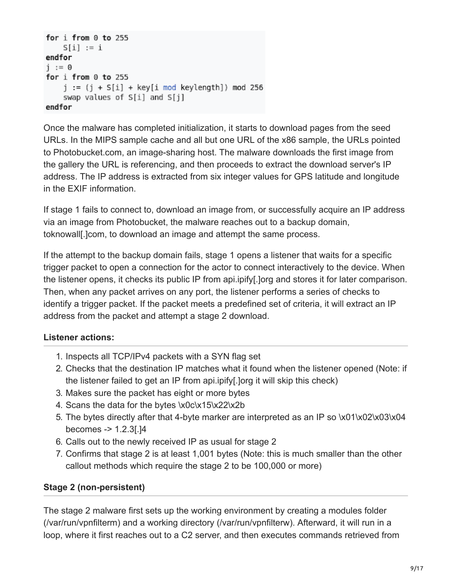```
for i from 0 to 255
    S[i] := iendfor
j := 0for i from 0 to 255
    j := (j + S[i] + key[i \mod keylength]) \mod 256swap values of S[i] and S[j]
endfor
```
Once the malware has completed initialization, it starts to download pages from the seed URLs. In the MIPS sample cache and all but one URL of the x86 sample, the URLs pointed to Photobucket.com, an image-sharing host. The malware downloads the first image from the gallery the URL is referencing, and then proceeds to extract the download server's IP address. The IP address is extracted from six integer values for GPS latitude and longitude in the EXIF information.

If stage 1 fails to connect to, download an image from, or successfully acquire an IP address via an image from Photobucket, the malware reaches out to a backup domain, toknowall[.]com, to download an image and attempt the same process.

If the attempt to the backup domain fails, stage 1 opens a listener that waits for a specific trigger packet to open a connection for the actor to connect interactively to the device. When the listener opens, it checks its public IP from api.ipify[.]org and stores it for later comparison. Then, when any packet arrives on any port, the listener performs a series of checks to identify a trigger packet. If the packet meets a predefined set of criteria, it will extract an IP address from the packet and attempt a stage 2 download.

## **Listener actions:**

- 1. Inspects all TCP/IPv4 packets with a SYN flag set
- 2. Checks that the destination IP matches what it found when the listener opened (Note: if the listener failed to get an IP from api.ipify[.]org it will skip this check)
- 3. Makes sure the packet has eight or more bytes
- 4. Scans the data for the bytes \x0c\x15\x22\x2b
- 5. The bytes directly after that 4-byte marker are interpreted as an IP so \x01\x02\x03\x04 becomes -> 1.2.3[.]4
- 6. Calls out to the newly received IP as usual for stage 2
- 7. Confirms that stage 2 is at least 1,001 bytes (Note: this is much smaller than the other callout methods which require the stage 2 to be 100,000 or more)

## **Stage 2 (non-persistent)**

The stage 2 malware first sets up the working environment by creating a modules folder (/var/run/vpnfilterm) and a working directory (/var/run/vpnfilterw). Afterward, it will run in a loop, where it first reaches out to a C2 server, and then executes commands retrieved from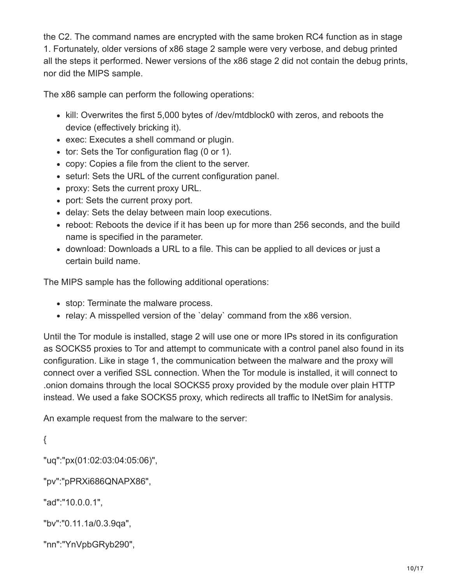the C2. The command names are encrypted with the same broken RC4 function as in stage 1. Fortunately, older versions of x86 stage 2 sample were very verbose, and debug printed all the steps it performed. Newer versions of the x86 stage 2 did not contain the debug prints, nor did the MIPS sample.

The x86 sample can perform the following operations:

- kill: Overwrites the first 5,000 bytes of /dev/mtdblock0 with zeros, and reboots the device (effectively bricking it).
- exec: Executes a shell command or plugin.
- tor: Sets the Tor configuration flag (0 or 1).
- copy: Copies a file from the client to the server.
- seturl: Sets the URL of the current configuration panel.
- proxy: Sets the current proxy URL.
- port: Sets the current proxy port.
- delay: Sets the delay between main loop executions.
- reboot: Reboots the device if it has been up for more than 256 seconds, and the build name is specified in the parameter.
- download: Downloads a URL to a file. This can be applied to all devices or just a certain build name.

The MIPS sample has the following additional operations:

- stop: Terminate the malware process.
- relay: A misspelled version of the 'delay' command from the x86 version.

Until the Tor module is installed, stage 2 will use one or more IPs stored in its configuration as SOCKS5 proxies to Tor and attempt to communicate with a control panel also found in its configuration. Like in stage 1, the communication between the malware and the proxy will connect over a verified SSL connection. When the Tor module is installed, it will connect to .onion domains through the local SOCKS5 proxy provided by the module over plain HTTP instead. We used a fake SOCKS5 proxy, which redirects all traffic to INetSim for analysis.

An example request from the malware to the server:

{

"uq":"px(01:02:03:04:05:06)",

"pv":"pPRXi686QNAPX86",

"ad":"10.0.0.1",

"bv":"0.11.1a/0.3.9qa",

"nn":"YnVpbGRyb290",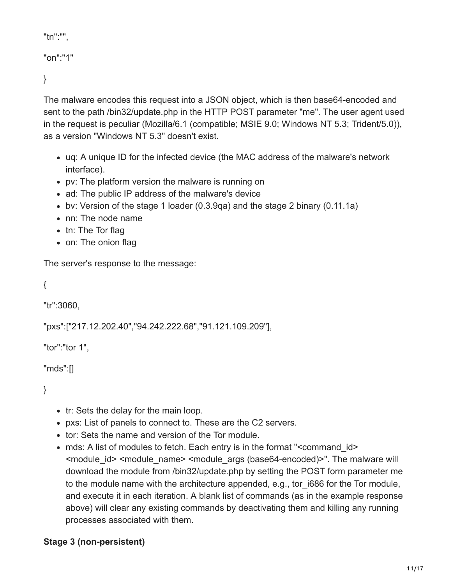```
"tn":"",
```

```
"on":"1"
```
}

The malware encodes this request into a JSON object, which is then base64-encoded and sent to the path /bin32/update.php in the HTTP POST parameter "me". The user agent used in the request is peculiar (Mozilla/6.1 (compatible; MSIE 9.0; Windows NT 5.3; Trident/5.0)), as a version "Windows NT 5.3" doesn't exist.

- uq: A unique ID for the infected device (the MAC address of the malware's network interface).
- pv: The platform version the malware is running on
- ad: The public IP address of the malware's device
- bv: Version of the stage 1 loader (0.3.9qa) and the stage 2 binary (0.11.1a)
- nn: The node name
- tn: The Tor flag
- on: The onion flag

The server's response to the message:

```
{
```
"tr":3060,

"pxs":["217.12.202.40","94.242.222.68","91.121.109.209"],

"tor":"tor 1",

"mds":[]

}

- tr: Sets the delay for the main loop.
- pxs: List of panels to connect to. These are the C2 servers.
- tor: Sets the name and version of the Tor module.
- mds: A list of modules to fetch. Each entry is in the format "<command\_id> <module\_id> <module\_name> <module\_args (base64-encoded)>". The malware will download the module from /bin32/update.php by setting the POST form parameter me to the module name with the architecture appended, e.g., tor i686 for the Tor module, and execute it in each iteration. A blank list of commands (as in the example response above) will clear any existing commands by deactivating them and killing any running processes associated with them.

# **Stage 3 (non-persistent)**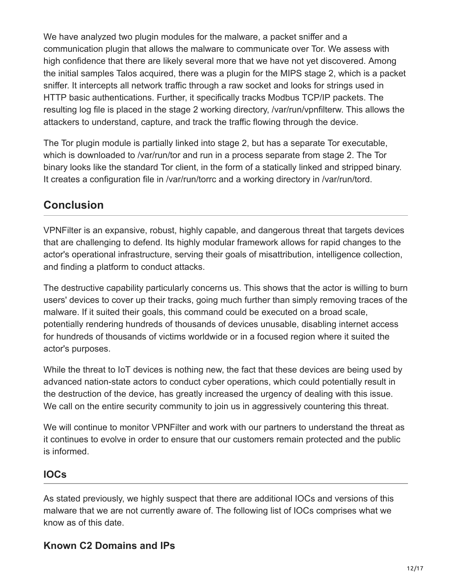We have analyzed two plugin modules for the malware, a packet sniffer and a communication plugin that allows the malware to communicate over Tor. We assess with high confidence that there are likely several more that we have not yet discovered. Among the initial samples Talos acquired, there was a plugin for the MIPS stage 2, which is a packet sniffer. It intercepts all network traffic through a raw socket and looks for strings used in HTTP basic authentications. Further, it specifically tracks Modbus TCP/IP packets. The resulting log file is placed in the stage 2 working directory, /var/run/vpnfilterw. This allows the attackers to understand, capture, and track the traffic flowing through the device.

The Tor plugin module is partially linked into stage 2, but has a separate Tor executable, which is downloaded to /var/run/tor and run in a process separate from stage 2. The Tor binary looks like the standard Tor client, in the form of a statically linked and stripped binary. It creates a configuration file in /var/run/torrc and a working directory in /var/run/tord.

# **Conclusion**

VPNFilter is an expansive, robust, highly capable, and dangerous threat that targets devices that are challenging to defend. Its highly modular framework allows for rapid changes to the actor's operational infrastructure, serving their goals of misattribution, intelligence collection, and finding a platform to conduct attacks.

The destructive capability particularly concerns us. This shows that the actor is willing to burn users' devices to cover up their tracks, going much further than simply removing traces of the malware. If it suited their goals, this command could be executed on a broad scale, potentially rendering hundreds of thousands of devices unusable, disabling internet access for hundreds of thousands of victims worldwide or in a focused region where it suited the actor's purposes.

While the threat to IoT devices is nothing new, the fact that these devices are being used by advanced nation-state actors to conduct cyber operations, which could potentially result in the destruction of the device, has greatly increased the urgency of dealing with this issue. We call on the entire security community to join us in aggressively countering this threat.

We will continue to monitor VPNFilter and work with our partners to understand the threat as it continues to evolve in order to ensure that our customers remain protected and the public is informed.

# **IOCs**

As stated previously, we highly suspect that there are additional IOCs and versions of this malware that we are not currently aware of. The following list of IOCs comprises what we know as of this date.

# **Known C2 Domains and IPs**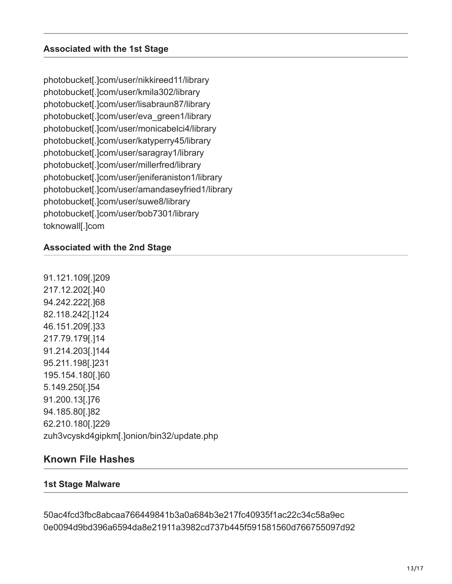photobucket[.]com/user/nikkireed11/library photobucket[.]com/user/kmila302/library photobucket[.]com/user/lisabraun87/library photobucket[.]com/user/eva\_green1/library photobucket[.]com/user/monicabelci4/library photobucket[.]com/user/katyperry45/library photobucket[.]com/user/saragray1/library photobucket[.]com/user/millerfred/library photobucket[.]com/user/jeniferaniston1/library photobucket[.]com/user/amandaseyfried1/library photobucket[.]com/user/suwe8/library photobucket[.]com/user/bob7301/library toknowall[.]com

## **Associated with the 2nd Stage**

91.121.109[.]209 217.12.202[.]40 94.242.222[.]68 82.118.242[.]124 46.151.209[.]33 217.79.179[.]14 91.214.203[.]144 95.211.198[.]231 195.154.180[.]60 5.149.250[.]54 91.200.13[.]76 94.185.80[.]82 62.210.180[.]229 zuh3vcyskd4gipkm[.]onion/bin32/update.php

## **Known File Hashes**

#### **1st Stage Malware**

50ac4fcd3fbc8abcaa766449841b3a0a684b3e217fc40935f1ac22c34c58a9ec 0e0094d9bd396a6594da8e21911a3982cd737b445f591581560d766755097d92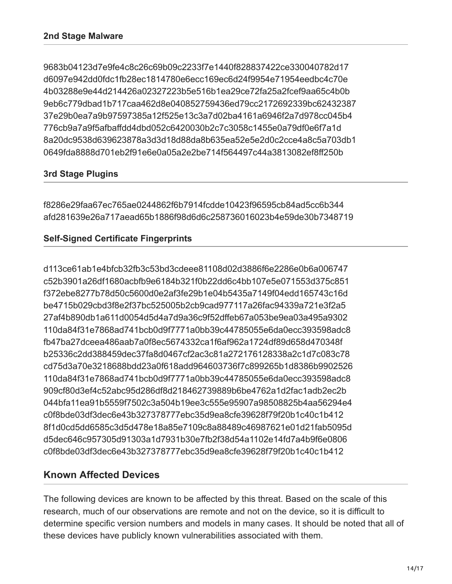9683b04123d7e9fe4c8c26c69b09c2233f7e1440f828837422ce330040782d17 d6097e942dd0fdc1fb28ec1814780e6ecc169ec6d24f9954e71954eedbc4c70e 4b03288e9e44d214426a02327223b5e516b1ea29ce72fa25a2fcef9aa65c4b0b 9eb6c779dbad1b717caa462d8e040852759436ed79cc2172692339bc62432387 37e29b0ea7a9b97597385a12f525e13c3a7d02ba4161a6946f2a7d978cc045b4 776cb9a7a9f5afbaffdd4dbd052c6420030b2c7c3058c1455e0a79df0e6f7a1d 8a20dc9538d639623878a3d3d18d88da8b635ea52e5e2d0c2cce4a8c5a703db1 0649fda8888d701eb2f91e6e0a05a2e2be714f564497c44a3813082ef8ff250b

## **3rd Stage Plugins**

f8286e29faa67ec765ae0244862f6b7914fcdde10423f96595cb84ad5cc6b344 afd281639e26a717aead65b1886f98d6d6c258736016023b4e59de30b7348719

## **Self-Signed Certificate Fingerprints**

d113ce61ab1e4bfcb32fb3c53bd3cdeee81108d02d3886f6e2286e0b6a006747 c52b3901a26df1680acbfb9e6184b321f0b22dd6c4bb107e5e071553d375c851 f372ebe8277b78d50c5600d0e2af3fe29b1e04b5435a7149f04edd165743c16d be4715b029cbd3f8e2f37bc525005b2cb9cad977117a26fac94339a721e3f2a5 27af4b890db1a611d0054d5d4a7d9a36c9f52dffeb67a053be9ea03a495a9302 110da84f31e7868ad741bcb0d9f7771a0bb39c44785055e6da0ecc393598adc8 fb47ba27dceea486aab7a0f8ec5674332ca1f6af962a1724df89d658d470348f b25336c2dd388459dec37fa8d0467cf2ac3c81a272176128338a2c1d7c083c78 cd75d3a70e3218688bdd23a0f618add964603736f7c899265b1d8386b9902526 110da84f31e7868ad741bcb0d9f7771a0bb39c44785055e6da0ecc393598adc8 909cf80d3ef4c52abc95d286df8d218462739889b6be4762a1d2fac1adb2ec2b 044bfa11ea91b5559f7502c3a504b19ee3c555e95907a98508825b4aa56294e4 c0f8bde03df3dec6e43b327378777ebc35d9ea8cfe39628f79f20b1c40c1b412 8f1d0cd5dd6585c3d5d478e18a85e7109c8a88489c46987621e01d21fab5095d d5dec646c957305d91303a1d7931b30e7fb2f38d54a1102e14fd7a4b9f6e0806 c0f8bde03df3dec6e43b327378777ebc35d9ea8cfe39628f79f20b1c40c1b412

# **Known Affected Devices**

The following devices are known to be affected by this threat. Based on the scale of this research, much of our observations are remote and not on the device, so it is difficult to determine specific version numbers and models in many cases. It should be noted that all of these devices have publicly known vulnerabilities associated with them.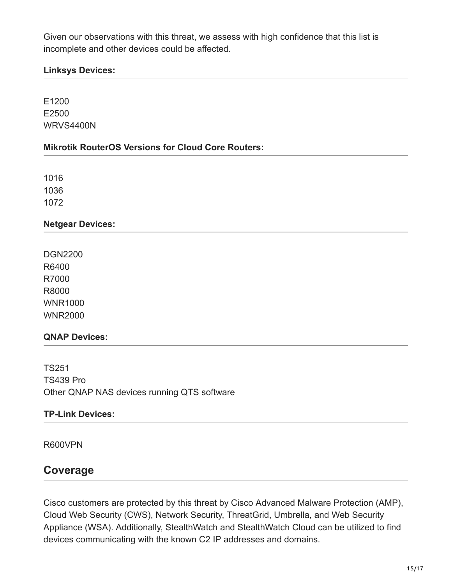Given our observations with this threat, we assess with high confidence that this list is incomplete and other devices could be affected.

## **Linksys Devices:**

E1200 E2500 WRVS4400N

## **Mikrotik RouterOS Versions for Cloud Core Routers:**

1016 1036 1072

## **Netgear Devices:**

DGN2200 R6400 R7000 R8000 WNR1000 WNR2000

#### **QNAP Devices:**

TS251 TS439 Pro Other QNAP NAS devices running QTS software

## **TP-Link Devices:**

R600VPN

# **Coverage**

Cisco customers are protected by this threat by Cisco Advanced Malware Protection (AMP), Cloud Web Security (CWS), Network Security, ThreatGrid, Umbrella, and Web Security Appliance (WSA). Additionally, StealthWatch and StealthWatch Cloud can be utilized to find devices communicating with the known C2 IP addresses and domains.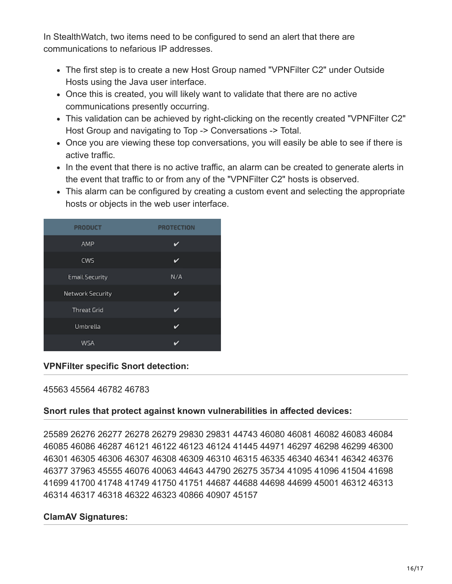In StealthWatch, two items need to be configured to send an alert that there are communications to nefarious IP addresses.

- The first step is to create a new Host Group named "VPNFilter C2" under Outside Hosts using the Java user interface.
- Once this is created, you will likely want to validate that there are no active communications presently occurring.
- This validation can be achieved by right-clicking on the recently created "VPNFilter C2" Host Group and navigating to Top -> Conversations -> Total.
- Once you are viewing these top conversations, you will easily be able to see if there is active traffic.
- In the event that there is no active traffic, an alarm can be created to generate alerts in the event that traffic to or from any of the "VPNFilter C2" hosts is observed.
- This alarm can be configured by creating a custom event and selecting the appropriate hosts or objects in the web user interface.



## **VPNFilter specific Snort detection:**

#### 45563 45564 46782 46783

## **Snort rules that protect against known vulnerabilities in affected devices:**

25589 26276 26277 26278 26279 29830 29831 44743 46080 46081 46082 46083 46084 46085 46086 46287 46121 46122 46123 46124 41445 44971 46297 46298 46299 46300 46301 46305 46306 46307 46308 46309 46310 46315 46335 46340 46341 46342 46376 46377 37963 45555 46076 40063 44643 44790 26275 35734 41095 41096 41504 41698 41699 41700 41748 41749 41750 41751 44687 44688 44698 44699 45001 46312 46313 46314 46317 46318 46322 46323 40866 40907 45157

## **ClamAV Signatures:**